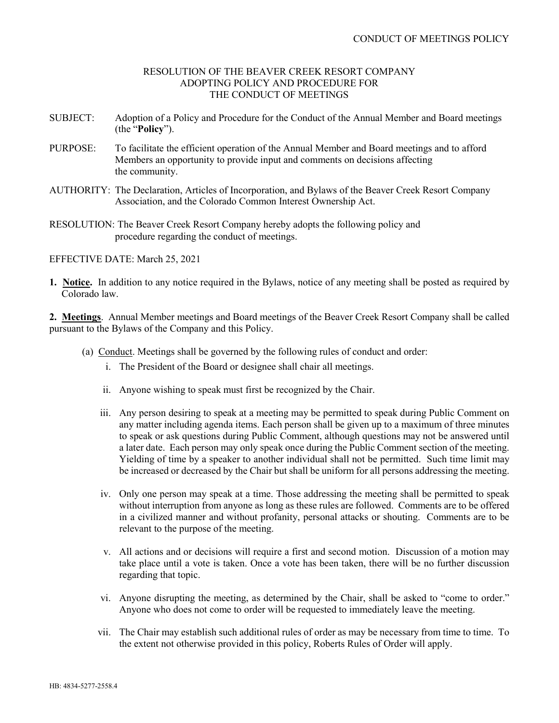## RESOLUTION OF THE BEAVER CREEK RESORT COMPANY ADOPTING POLICY AND PROCEDURE FOR THE CONDUCT OF MEETINGS

- SUBJECT: Adoption of a Policy and Procedure for the Conduct of the Annual Member and Board meetings (the "**Policy**").
- PURPOSE: To facilitate the efficient operation of the Annual Member and Board meetings and to afford Members an opportunity to provide input and comments on decisions affecting the community.
- AUTHORITY: The Declaration, Articles of Incorporation, and Bylaws of the Beaver Creek Resort Company Association, and the Colorado Common Interest Ownership Act.
- RESOLUTION: The Beaver Creek Resort Company hereby adopts the following policy and procedure regarding the conduct of meetings.

EFFECTIVE DATE: March 25, 2021

**1. Notice.** In addition to any notice required in the Bylaws, notice of any meeting shall be posted as required by Colorado law.

**2. Meetings**. Annual Member meetings and Board meetings of the Beaver Creek Resort Company shall be called pursuant to the Bylaws of the Company and this Policy.

- (a) Conduct. Meetings shall be governed by the following rules of conduct and order:
	- i. The President of the Board or designee shall chair all meetings.
	- ii. Anyone wishing to speak must first be recognized by the Chair.
	- iii. Any person desiring to speak at a meeting may be permitted to speak during Public Comment on any matter including agenda items. Each person shall be given up to a maximum of three minutes to speak or ask questions during Public Comment, although questions may not be answered until a later date. Each person may only speak once during the Public Comment section of the meeting. Yielding of time by a speaker to another individual shall not be permitted. Such time limit may be increased or decreased by the Chair but shall be uniform for all persons addressing the meeting.
	- iv. Only one person may speak at a time. Those addressing the meeting shall be permitted to speak without interruption from anyone as long as these rules are followed. Comments are to be offered in a civilized manner and without profanity, personal attacks or shouting. Comments are to be relevant to the purpose of the meeting.
	- v. All actions and or decisions will require a first and second motion. Discussion of a motion may take place until a vote is taken. Once a vote has been taken, there will be no further discussion regarding that topic.
	- vi. Anyone disrupting the meeting, as determined by the Chair, shall be asked to "come to order." Anyone who does not come to order will be requested to immediately leave the meeting.
	- vii. The Chair may establish such additional rules of order as may be necessary from time to time. To the extent not otherwise provided in this policy, Roberts Rules of Order will apply.